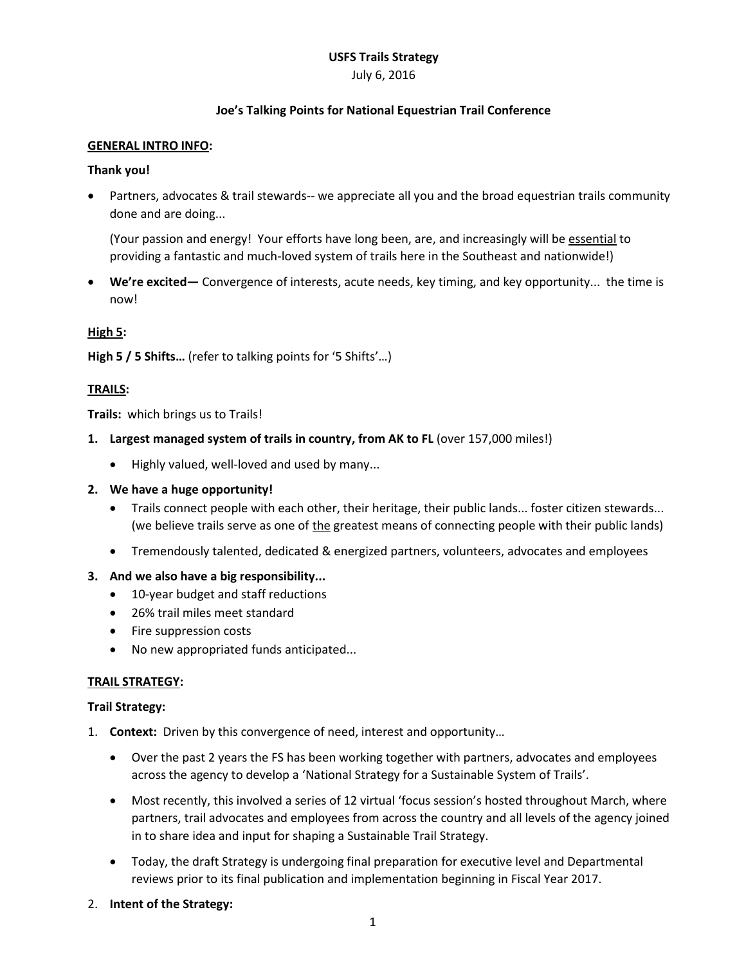# **USFS Trails Strategy**

#### July 6, 2016

## **Joe's Talking Points for National Equestrian Trail Conference**

#### **GENERAL INTRO INFO:**

#### **Thank you!**

 Partners, advocates & trail stewards-- we appreciate all you and the broad equestrian trails community done and are doing...

(Your passion and energy! Your efforts have long been, are, and increasingly will be essential to providing a fantastic and much-loved system of trails here in the Southeast and nationwide!)

 **We're excited—** Convergence of interests, acute needs, key timing, and key opportunity... the time is now!

## **High 5:**

**High 5 / 5 Shifts…** (refer to talking points for '5 Shifts'…)

## **TRAILS:**

**Trails:** which brings us to Trails!

- **1. Largest managed system of trails in country, from AK to FL** (over 157,000 miles!)
	- Highly valued, well-loved and used by many...
- **2. We have a huge opportunity!** 
	- Trails connect people with each other, their heritage, their public lands... foster citizen stewards... (we believe trails serve as one of the greatest means of connecting people with their public lands)
	- Tremendously talented, dedicated & energized partners, volunteers, advocates and employees
- **3. And we also have a big responsibility...**
	- 10-year budget and staff reductions
	- 26% trail miles meet standard
	- Fire suppression costs
	- No new appropriated funds anticipated...

## **TRAIL STRATEGY:**

#### **Trail Strategy:**

- 1. **Context:** Driven by this convergence of need, interest and opportunity…
	- Over the past 2 years the FS has been working together with partners, advocates and employees across the agency to develop a 'National Strategy for a Sustainable System of Trails'.
	- Most recently, this involved a series of 12 virtual 'focus session's hosted throughout March, where partners, trail advocates and employees from across the country and all levels of the agency joined in to share idea and input for shaping a Sustainable Trail Strategy.
	- Today, the draft Strategy is undergoing final preparation for executive level and Departmental reviews prior to its final publication and implementation beginning in Fiscal Year 2017.
- 2. **Intent of the Strategy:**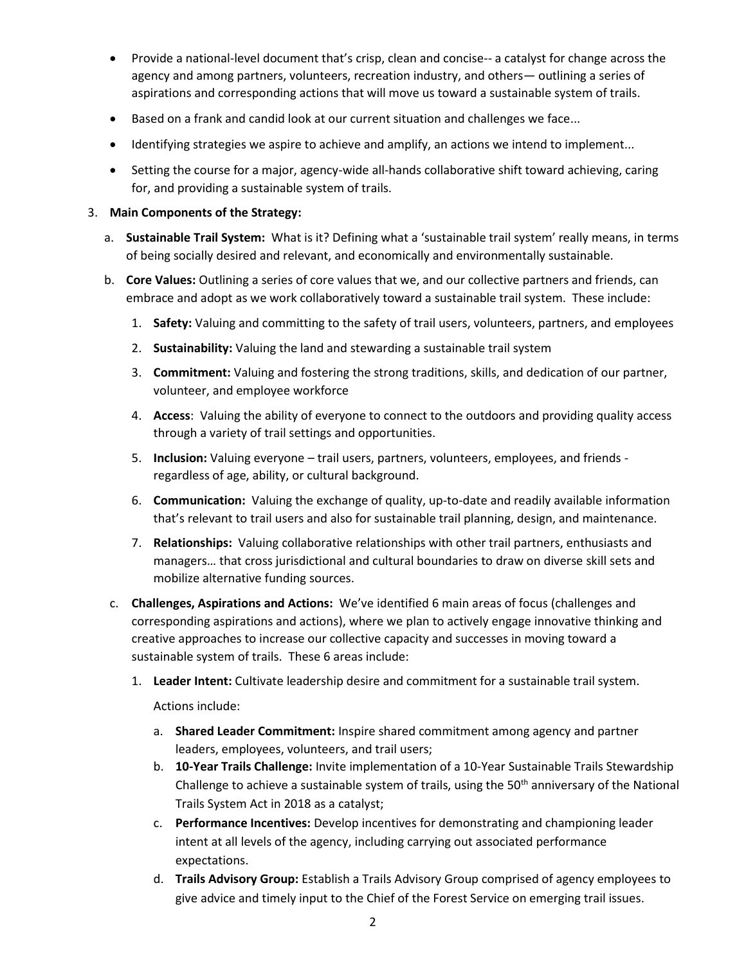- Provide a national-level document that's crisp, clean and concise-- a catalyst for change across the agency and among partners, volunteers, recreation industry, and others— outlining a series of aspirations and corresponding actions that will move us toward a sustainable system of trails.
- **Based on a frank and candid look at our current situation and challenges we face...**
- Identifying strategies we aspire to achieve and amplify, an actions we intend to implement...
- Setting the course for a major, agency-wide all-hands collaborative shift toward achieving, caring for, and providing a sustainable system of trails.

# 3. **Main Components of the Strategy:**

- a. **Sustainable Trail System:** What is it? Defining what a 'sustainable trail system' really means, in terms of being socially desired and relevant, and economically and environmentally sustainable.
- b. **Core Values:** Outlining a series of core values that we, and our collective partners and friends, can embrace and adopt as we work collaboratively toward a sustainable trail system. These include:
	- 1. **Safety:** Valuing and committing to the safety of trail users, volunteers, partners, and employees
	- 2. **Sustainability:** Valuing the land and stewarding a sustainable trail system
	- 3. **Commitment:** Valuing and fostering the strong traditions, skills, and dedication of our partner, volunteer, and employee workforce
	- 4. **Access**: Valuing the ability of everyone to connect to the outdoors and providing quality access through a variety of trail settings and opportunities.
	- 5. **Inclusion:** Valuing everyone trail users, partners, volunteers, employees, and friends regardless of age, ability, or cultural background.
	- 6. **Communication:** Valuing the exchange of quality, up-to-date and readily available information that's relevant to trail users and also for sustainable trail planning, design, and maintenance.
	- 7. **Relationships:** Valuing collaborative relationships with other trail partners, enthusiasts and managers… that cross jurisdictional and cultural boundaries to draw on diverse skill sets and mobilize alternative funding sources.
- c. **Challenges, Aspirations and Actions:** We've identified 6 main areas of focus (challenges and corresponding aspirations and actions), where we plan to actively engage innovative thinking and creative approaches to increase our collective capacity and successes in moving toward a sustainable system of trails. These 6 areas include:
	- 1. **Leader Intent:** Cultivate leadership desire and commitment for a sustainable trail system.

Actions include:

- a. **Shared Leader Commitment:** Inspire shared commitment among agency and partner leaders, employees, volunteers, and trail users;
- b. **10-Year Trails Challenge:** Invite implementation of a 10-Year Sustainable Trails Stewardship Challenge to achieve a sustainable system of trails, using the  $50<sup>th</sup>$  anniversary of the National Trails System Act in 2018 as a catalyst;
- c. **Performance Incentives:** Develop incentives for demonstrating and championing leader intent at all levels of the agency, including carrying out associated performance expectations.
- d. **Trails Advisory Group:** Establish a Trails Advisory Group comprised of agency employees to give advice and timely input to the Chief of the Forest Service on emerging trail issues.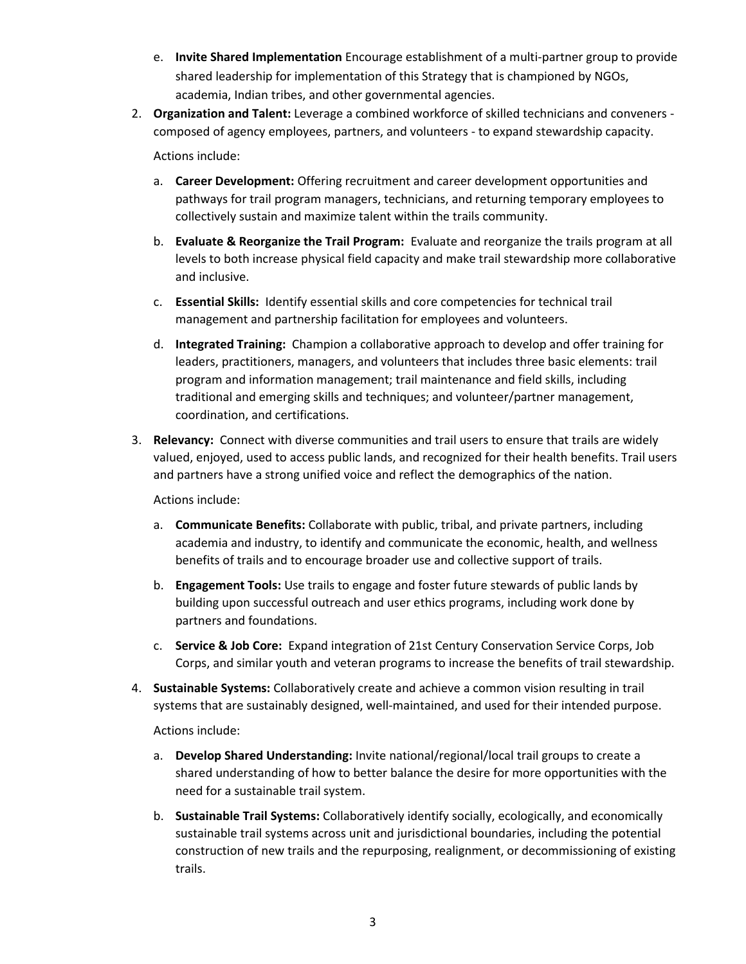- e. **Invite Shared Implementation** Encourage establishment of a multi-partner group to provide shared leadership for implementation of this Strategy that is championed by NGOs, academia, Indian tribes, and other governmental agencies.
- 2. **Organization and Talent:** Leverage a combined workforce of skilled technicians and conveners composed of agency employees, partners, and volunteers - to expand stewardship capacity.

Actions include:

- a. **Career Development:** Offering recruitment and career development opportunities and pathways for trail program managers, technicians, and returning temporary employees to collectively sustain and maximize talent within the trails community.
- b. **Evaluate & Reorganize the Trail Program:** Evaluate and reorganize the trails program at all levels to both increase physical field capacity and make trail stewardship more collaborative and inclusive.
- c. **Essential Skills:** Identify essential skills and core competencies for technical trail management and partnership facilitation for employees and volunteers.
- d. **Integrated Training:** Champion a collaborative approach to develop and offer training for leaders, practitioners, managers, and volunteers that includes three basic elements: trail program and information management; trail maintenance and field skills, including traditional and emerging skills and techniques; and volunteer/partner management, coordination, and certifications.
- 3. **Relevancy:** Connect with diverse communities and trail users to ensure that trails are widely valued, enjoyed, used to access public lands, and recognized for their health benefits. Trail users and partners have a strong unified voice and reflect the demographics of the nation.

Actions include:

- a. **Communicate Benefits:** Collaborate with public, tribal, and private partners, including academia and industry, to identify and communicate the economic, health, and wellness benefits of trails and to encourage broader use and collective support of trails.
- b. **Engagement Tools:** Use trails to engage and foster future stewards of public lands by building upon successful outreach and user ethics programs, including work done by partners and foundations.
- c. **Service & Job Core:** Expand integration of 21st Century Conservation Service Corps, Job Corps, and similar youth and veteran programs to increase the benefits of trail stewardship.
- 4. **Sustainable Systems:** Collaboratively create and achieve a common vision resulting in trail systems that are sustainably designed, well-maintained, and used for their intended purpose.

Actions include:

- a. **Develop Shared Understanding:** Invite national/regional/local trail groups to create a shared understanding of how to better balance the desire for more opportunities with the need for a sustainable trail system.
- b. **Sustainable Trail Systems:** Collaboratively identify socially, ecologically, and economically sustainable trail systems across unit and jurisdictional boundaries, including the potential construction of new trails and the repurposing, realignment, or decommissioning of existing trails.